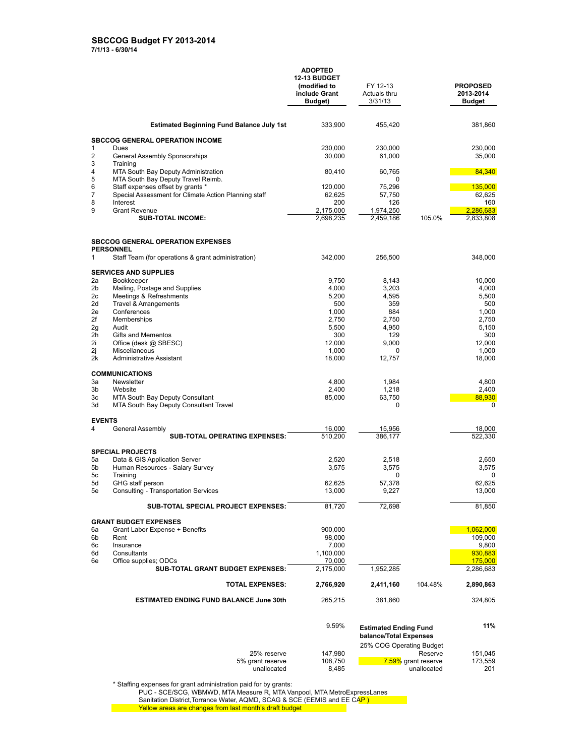**ADOPTED 12-13 BUDGET (modified to include Grant Budget)** FY 12-13 Actuals thru 3/31/13 **PROPOSED 2013-2014 Budget Estimated Beginning Fund Balance July 1st** 333,900 455,420 381,860 **SBCCOG GENERAL OPERATION INCOME**<br>1 Dues 1 Dues 230,000 230,000 230,000 2 General Assembly Sponsorships 30,000 61,000 61,000 35,000 35,000 3 Training<br>4 MTA Sou 4 MTA South Bay Deputy Administration 60,410 60,765 60,765 84,340<br>5 MTA South Bay Deputy Travel Reimb. 5 MTA South Bay Deputy Travel Reimb. 0 6 Staff expenses offset by grants \* 120,000 120,000 120,000 135,000 135,000 135,000 7 Special Assessment for Climate Action Planning staff 62,625 57,750 57,750 62,625 62,625 62,625 62,625 57,750<br>160 160 126 160 8 Interest 200 126 160 9 Grant Revenue 2,175,000 1,974,250 <mark> 2,286,683</mark> **SUB-TOTAL INCOME:** 2,698,235 2,459,186 105.0% 2,833,808 **SBCCOG GENERAL OPERATION EXPENSES PERSONNEL** 1 Staff Team (for operations & grant administration) 342,000 256,500 348,000 **SERVICES AND SUPPLIES**<br>2a Bookkeeper 2a Bookkeeper 9,750 8,143 10,000 entries and Supplies and Supplies and Supplies and Supplies and Supplies and Supplies and Supplies and Supplies and Supplies and Supplies and Supplies and Supplies and Supplies and Supplies and Supplies and Supplies and Su 2c Meetings & Refreshments 5,200 4,595 5,500 2d Travel & Arrangements 500 2e Conferences 1,000 884 1,000 2f Memberships 2,750 2,750 2,750 2g Audit 5,500 4,950 5,150 2h Gifts and Mementos 300 129 300 2i Office (desk @ SBESC) 12,000 9,000 9,000 12,000 12,000<br>2i Miscellaneous 1,000 0 1,000 0 1,000 2j Miscellaneous 1,000 0 1,000 2k Administrative Assistant 18,000 12,757 18,000 **COMMUNICATIONS** 3a Newsletter 4,800 1,984 4,800 3b Website 2,400 1,218 2,400 3c MTA South Bay Deputy Consultant 85,000 63,750 88,930<br>3d MTA South Bay Deputy Consultant Travel 0 0 MTA South Bay Deputy Consultant Travel **EVENTS** 4 General Assembly **SUB-TOTAL OPERATING EXPENSES:**  $\frac{16,000}{510,200}$   $\frac{15,956}{386,177}$   $\frac{18,000}{522,330}$ **SUB-TOTAL OPERATING EXPENSES: SPECIAL PROJECTS** 5a Data & GIS Application Server 2,520 2,518 2,650 Human Resources - Salary Survey 5c Training 0 0 5d GHG staff person 62,625 57,378 62,625 5e Consulting - Transportation Services 13,000 9,227 13,000 **SUB-TOTAL SPECIAL PROJECT EXPENSES:** 81,720 72,698 81,850 81,850 **GRANT BUDGET EXPENSES**<br>6a Grant Labor Expense + 6a Grant Labor Expense + Benefits 1900,000 1,062,000 1,062,000 1,062,000 1,062,000 1,062,000 1,062,000 1,062,000 1,062,000 1,062,000 1,062,000 1,062,000 1,062,000 1,062,000 1,09,000 1,09,000 1,09,000 1,09,000 1,09,000 1,09 6b Rent 98,000 109,000  $6c$  Insurance 9,800 9,800 6d Consultants 1,100,000 930,883 6e Office supplies; ODCs 70,000 175,000 175,000 175,000 175,000 **SUB-TOTAL GRANT BUDGET EXPENSES:**  $\frac{2,175,000}{2,175,000}$  1,952,285 2,286,683 **TOTAL EXPENSES: 2,766,920 2,411,160** 104.48% **2,890,863 ESTIMATED ENDING FUND BALANCE June 30th** 265,215 381,860 324,805

|                  | 9.59%   | <b>Estimated Ending Fund</b><br>balance/Total Expenses |         |
|------------------|---------|--------------------------------------------------------|---------|
|                  |         | 25% COG Operating Budget                               |         |
| 25% reserve      | 147.980 | Reserve                                                | 151.045 |
| 5% grant reserve | 108.750 | 7.59% grant reserve                                    | 173.559 |
| unallocated      | 8.485   | unallocated                                            | 201     |

\* Staffing expenses for grant administration paid for by grants:

PUC - SCE/SCG, WBMWD, MTA Measure R, MTA Vanpool, MTA MetroExpressLanes

Sanitation District, Torrance Water, AQMD, SCAG & SCE (EEMIS and EE CAP)

Yellow areas are changes from last month's draft budget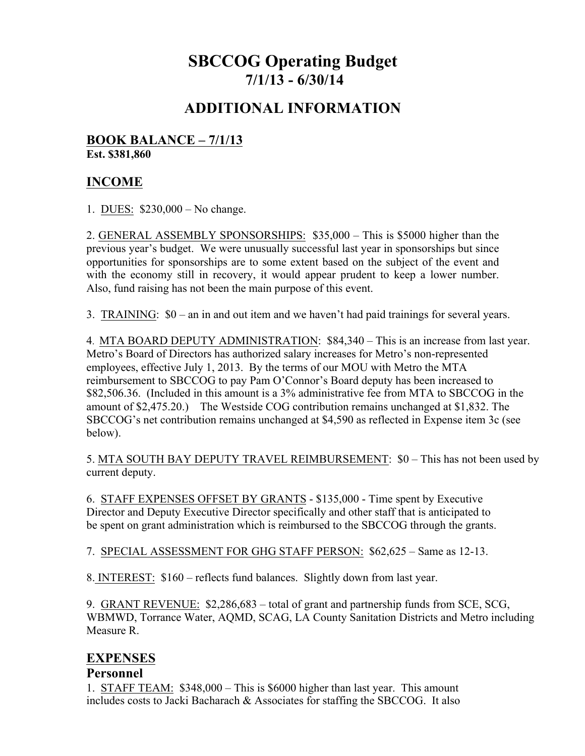# **SBCCOG Operating Budget 7/1/13 - 6/30/14**

## **ADDITIONAL INFORMATION**

#### **BOOK BALANCE – 7/1/13 Est. \$381,860**

## **INCOME**

1. DUES: \$230,000 – No change.

2. GENERAL ASSEMBLY SPONSORSHIPS: \$35,000 – This is \$5000 higher than the previous year's budget. We were unusually successful last year in sponsorships but since opportunities for sponsorships are to some extent based on the subject of the event and with the economy still in recovery, it would appear prudent to keep a lower number. Also, fund raising has not been the main purpose of this event.

3. TRAINING: \$0 – an in and out item and we haven't had paid trainings for several years.

4. MTA BOARD DEPUTY ADMINISTRATION: \$84,340 – This is an increase from last year. Metro's Board of Directors has authorized salary increases for Metro's non-represented employees, effective July 1, 2013. By the terms of our MOU with Metro the MTA reimbursement to SBCCOG to pay Pam O'Connor's Board deputy has been increased to \$82,506.36. (Included in this amount is a 3% administrative fee from MTA to SBCCOG in the amount of \$2,475.20.) The Westside COG contribution remains unchanged at \$1,832. The SBCCOG's net contribution remains unchanged at \$4,590 as reflected in Expense item 3c (see below).

5. MTA SOUTH BAY DEPUTY TRAVEL REIMBURSEMENT: \$0 – This has not been used by current deputy.

6. STAFF EXPENSES OFFSET BY GRANTS - \$135,000 - Time spent by Executive Director and Deputy Executive Director specifically and other staff that is anticipated to be spent on grant administration which is reimbursed to the SBCCOG through the grants.

7. SPECIAL ASSESSMENT FOR GHG STAFF PERSON: \$62,625 – Same as 12-13.

8. INTEREST: \$160 – reflects fund balances. Slightly down from last year.

9. GRANT REVENUE: \$2,286,683 – total of grant and partnership funds from SCE, SCG, WBMWD, Torrance Water, AQMD, SCAG, LA County Sanitation Districts and Metro including Measure R.

## **EXPENSES**

#### **Personnel**

1. STAFF TEAM: \$348,000 – This is \$6000 higher than last year. This amount includes costs to Jacki Bacharach & Associates for staffing the SBCCOG. It also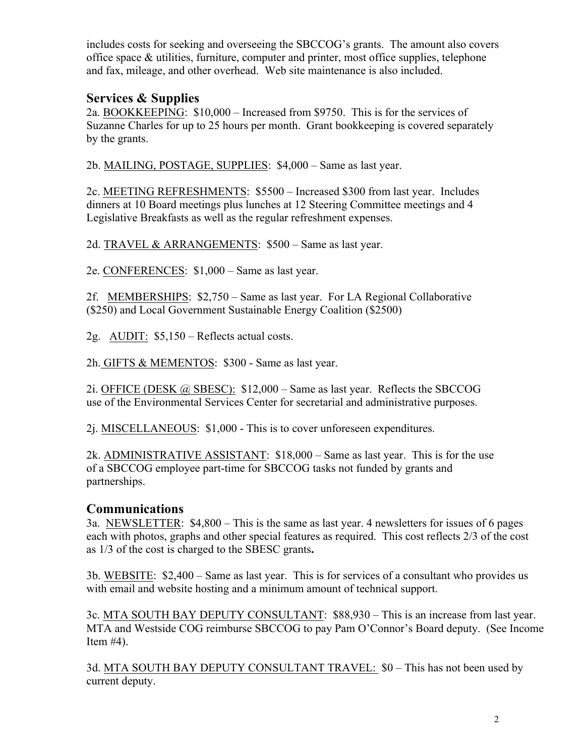includes costs for seeking and overseeing the SBCCOG's grants. The amount also covers office space & utilities, furniture, computer and printer, most office supplies, telephone and fax, mileage, and other overhead. Web site maintenance is also included.

## **Services & Supplies**

2a. BOOKKEEPING: \$10,000 – Increased from \$9750. This is for the services of Suzanne Charles for up to 25 hours per month. Grant bookkeeping is covered separately by the grants.

2b. MAILING, POSTAGE, SUPPLIES: \$4,000 – Same as last year.

2c. MEETING REFRESHMENTS: \$5500 – Increased \$300 from last year. Includes dinners at 10 Board meetings plus lunches at 12 Steering Committee meetings and 4 Legislative Breakfasts as well as the regular refreshment expenses.

2d. TRAVEL & ARRANGEMENTS: \$500 – Same as last year.

2e. CONFERENCES: \$1,000 – Same as last year.

2f. MEMBERSHIPS: \$2,750 – Same as last year. For LA Regional Collaborative (\$250) and Local Government Sustainable Energy Coalition (\$2500)

2g. AUDIT: \$5,150 – Reflects actual costs.

2h. GIFTS & MEMENTOS: \$300 - Same as last year.

2i. OFFICE (DESK  $@$  SBESC): \$12,000 – Same as last year. Reflects the SBCCOG use of the Environmental Services Center for secretarial and administrative purposes.

2j. MISCELLANEOUS: \$1,000 - This is to cover unforeseen expenditures.

2k. ADMINISTRATIVE ASSISTANT: \$18,000 – Same as last year. This is for the use of a SBCCOG employee part-time for SBCCOG tasks not funded by grants and partnerships.

#### **Communications**

3a. NEWSLETTER: \$4,800 – This is the same as last year. 4 newsletters for issues of 6 pages each with photos, graphs and other special features as required. This cost reflects 2/3 of the cost as 1/3 of the cost is charged to the SBESC grants**.** 

3b. WEBSITE: \$2,400 – Same as last year. This is for services of a consultant who provides us with email and website hosting and a minimum amount of technical support.

3c. MTA SOUTH BAY DEPUTY CONSULTANT: \$88,930 – This is an increase from last year. MTA and Westside COG reimburse SBCCOG to pay Pam O'Connor's Board deputy. (See Income Item  $#4$ ).

3d. MTA SOUTH BAY DEPUTY CONSULTANT TRAVEL: \$0 – This has not been used by current deputy.